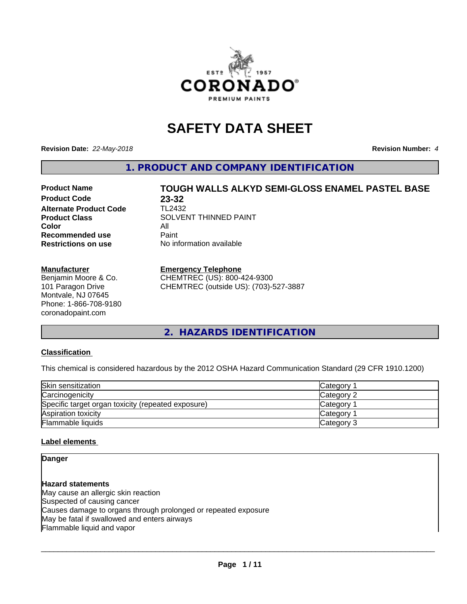

# **SAFETY DATA SHEET**

**Revision Date:** *22-May-2018* **Revision Number:** *4*

**1. PRODUCT AND COMPANY IDENTIFICATION**

# **Product Name TOUGH WALLS ALKYD SEMI-GLOSS ENAMEL PASTEL BASE**

**Product Code 23-32<br>Alternate Product Code 11/2432 Alternate Product Code Color** All All<br>**Recommended use** Paint **Recommended use Restrictions on use** No information available

**Product Class** SOLVENT THINNED PAINT

#### **Manufacturer**

Benjamin Moore & Co. 101 Paragon Drive Montvale, NJ 07645 Phone: 1-866-708-9180 coronadopaint.com

#### **Emergency Telephone**

CHEMTREC (US): 800-424-9300 CHEMTREC (outside US): (703)-527-3887

**2. HAZARDS IDENTIFICATION**

#### **Classification**

This chemical is considered hazardous by the 2012 OSHA Hazard Communication Standard (29 CFR 1910.1200)

| Skin sensitization                                 | <b>Category</b> |
|----------------------------------------------------|-----------------|
| Carcinogenicity                                    | Category 2      |
| Specific target organ toxicity (repeated exposure) | <b>Category</b> |
| Aspiration toxicity                                | <b>Category</b> |
| <b>Flammable liquids</b>                           | Category 3      |

### **Label elements**

### **Danger**

**Hazard statements** May cause an allergic skin reaction Suspected of causing cancer Causes damage to organs through prolonged or repeated exposure May be fatal if swallowed and enters airways Flammable liquid and vapor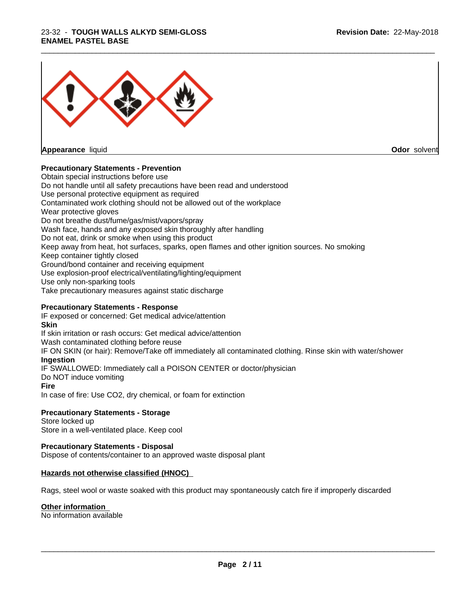#### 23-32 - **TOUGH WALLS ALKYD SEMI-GLOSS ENAMEL PASTEL BASE**



**Appearance** liquid

**Odor** solvent

#### **Precautionary Statements - Prevention**

Obtain special instructions before use Do not handle until all safety precautions have been read and understood Use personal protective equipment as required Contaminated work clothing should not be allowed out of the workplace Wear protective gloves Do not breathe dust/fume/gas/mist/vapors/spray Wash face, hands and any exposed skin thoroughly after handling Do not eat, drink or smoke when using this product Keep away from heat, hot surfaces, sparks, open flames and other ignition sources. No smoking Keep container tightly closed Ground/bond container and receiving equipment Use explosion-proof electrical/ventilating/lighting/equipment Use only non-sparking tools Take precautionary measures against static discharge

\_\_\_\_\_\_\_\_\_\_\_\_\_\_\_\_\_\_\_\_\_\_\_\_\_\_\_\_\_\_\_\_\_\_\_\_\_\_\_\_\_\_\_\_\_\_\_\_\_\_\_\_\_\_\_\_\_\_\_\_\_\_\_\_\_\_\_\_\_\_\_\_\_\_\_\_\_\_\_\_\_\_\_\_\_\_\_\_\_\_\_\_\_

#### **Precautionary Statements - Response**

IF exposed or concerned: Get medical advice/attention **Skin** If skin irritation or rash occurs: Get medical advice/attention Wash contaminated clothing before reuse IF ON SKIN (or hair): Remove/Take off immediately all contaminated clothing. Rinse skin with water/shower **Ingestion** IF SWALLOWED: Immediately call a POISON CENTER or doctor/physician Do NOT induce vomiting **Fire** In case of fire: Use CO2, dry chemical, or foam for extinction

#### **Precautionary Statements - Storage**

Store locked up Store in a well-ventilated place. Keep cool

#### **Precautionary Statements - Disposal**

Dispose of contents/container to an approved waste disposal plant

#### **Hazards not otherwise classified (HNOC)**

Rags, steel wool or waste soaked with this product may spontaneously catch fire if improperly discarded

#### **Other information**

No information available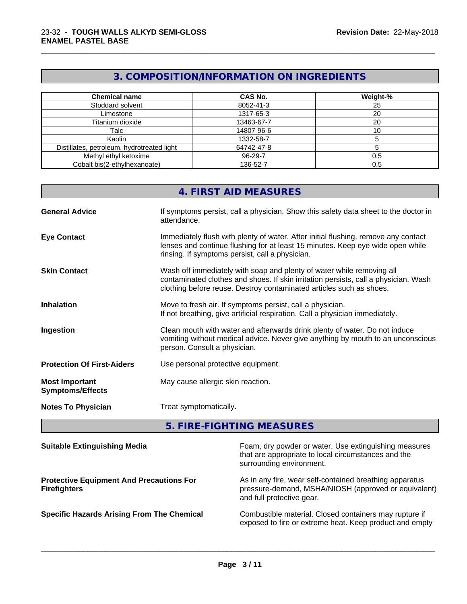### **3. COMPOSITION/INFORMATION ON INGREDIENTS**

\_\_\_\_\_\_\_\_\_\_\_\_\_\_\_\_\_\_\_\_\_\_\_\_\_\_\_\_\_\_\_\_\_\_\_\_\_\_\_\_\_\_\_\_\_\_\_\_\_\_\_\_\_\_\_\_\_\_\_\_\_\_\_\_\_\_\_\_\_\_\_\_\_\_\_\_\_\_\_\_\_\_\_\_\_\_\_\_\_\_\_\_\_

| <b>Chemical name</b>                       | <b>CAS No.</b> | Weight-% |
|--------------------------------------------|----------------|----------|
| Stoddard solvent                           | 8052-41-3      | 25       |
| Limestone                                  | 1317-65-3      | 20       |
| Titanium dioxide                           | 13463-67-7     | 20       |
| Talc                                       | 14807-96-6     | ΊΟ       |
| Kaolin                                     | 1332-58-7      |          |
| Distillates, petroleum, hydrotreated light | 64742-47-8     |          |
| Methyl ethyl ketoxime                      | 96-29-7        | 0.5      |
| Cobalt bis(2-ethylhexanoate)               | 136-52-7       | 0.5      |

|                                                  | 4. FIRST AID MEASURES                                                                                                                                                                                                               |
|--------------------------------------------------|-------------------------------------------------------------------------------------------------------------------------------------------------------------------------------------------------------------------------------------|
| <b>General Advice</b>                            | If symptoms persist, call a physician. Show this safety data sheet to the doctor in<br>attendance.                                                                                                                                  |
| <b>Eye Contact</b>                               | Immediately flush with plenty of water. After initial flushing, remove any contact<br>lenses and continue flushing for at least 15 minutes. Keep eye wide open while<br>rinsing. If symptoms persist, call a physician.             |
| <b>Skin Contact</b>                              | Wash off immediately with soap and plenty of water while removing all<br>contaminated clothes and shoes. If skin irritation persists, call a physician. Wash<br>clothing before reuse. Destroy contaminated articles such as shoes. |
| <b>Inhalation</b>                                | Move to fresh air. If symptoms persist, call a physician.<br>If not breathing, give artificial respiration. Call a physician immediately.                                                                                           |
| Ingestion                                        | Clean mouth with water and afterwards drink plenty of water. Do not induce<br>vomiting without medical advice. Never give anything by mouth to an unconscious<br>person. Consult a physician.                                       |
| <b>Protection Of First-Aiders</b>                | Use personal protective equipment.                                                                                                                                                                                                  |
| <b>Most Important</b><br><b>Symptoms/Effects</b> | May cause allergic skin reaction.                                                                                                                                                                                                   |
| <b>Notes To Physician</b>                        | Treat symptomatically.                                                                                                                                                                                                              |

## **5. FIRE-FIGHTING MEASURES**

| <b>Suitable Extinguishing Media</b>                                    | Foam, dry powder or water. Use extinguishing measures<br>that are appropriate to local circumstances and the<br>surrounding environment.     |
|------------------------------------------------------------------------|----------------------------------------------------------------------------------------------------------------------------------------------|
| <b>Protective Equipment And Precautions For</b><br><b>Firefighters</b> | As in any fire, wear self-contained breathing apparatus<br>pressure-demand, MSHA/NIOSH (approved or equivalent)<br>and full protective gear. |
| <b>Specific Hazards Arising From The Chemical</b>                      | Combustible material. Closed containers may rupture if<br>exposed to fire or extreme heat. Keep product and empty                            |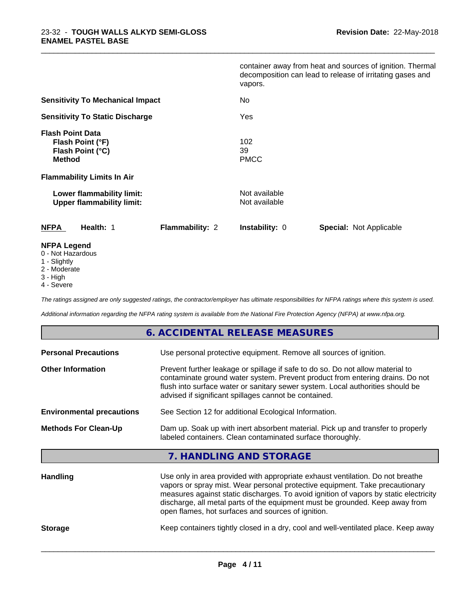|                                                                                  | container away from heat and sources of ignition. Thermal<br>decomposition can lead to release of irritating gases and<br>vapors. |
|----------------------------------------------------------------------------------|-----------------------------------------------------------------------------------------------------------------------------------|
| <b>Sensitivity To Mechanical Impact</b>                                          | No                                                                                                                                |
| <b>Sensitivity To Static Discharge</b>                                           | Yes                                                                                                                               |
| <b>Flash Point Data</b><br>Flash Point (°F)<br>Flash Point (°C)<br><b>Method</b> | 102<br>39<br><b>PMCC</b>                                                                                                          |
| <b>Flammability Limits In Air</b>                                                |                                                                                                                                   |
| Lower flammability limit:<br><b>Upper flammability limit:</b>                    | Not available<br>Not available                                                                                                    |
| Health: 1<br><b>Flammability: 2</b><br><b>NFPA</b>                               | Instability: 0<br><b>Special: Not Applicable</b>                                                                                  |
| <b>NFPA Legend</b><br>0 - Not Hazardous                                          |                                                                                                                                   |

\_\_\_\_\_\_\_\_\_\_\_\_\_\_\_\_\_\_\_\_\_\_\_\_\_\_\_\_\_\_\_\_\_\_\_\_\_\_\_\_\_\_\_\_\_\_\_\_\_\_\_\_\_\_\_\_\_\_\_\_\_\_\_\_\_\_\_\_\_\_\_\_\_\_\_\_\_\_\_\_\_\_\_\_\_\_\_\_\_\_\_\_\_

- 
- 1 Slightly
- 2 Moderate
- 3 High
- 4 Severe

*The ratings assigned are only suggested ratings, the contractor/employer has ultimate responsibilities for NFPA ratings where this system is used.*

*Additional information regarding the NFPA rating system is available from the National Fire Protection Agency (NFPA) at www.nfpa.org.*

### **6. ACCIDENTAL RELEASE MEASURES**

| <b>Personal Precautions</b>      | Use personal protective equipment. Remove all sources of ignition.                                                                                                                                                                                                                                                                                                                            |  |
|----------------------------------|-----------------------------------------------------------------------------------------------------------------------------------------------------------------------------------------------------------------------------------------------------------------------------------------------------------------------------------------------------------------------------------------------|--|
| <b>Other Information</b>         | Prevent further leakage or spillage if safe to do so. Do not allow material to<br>contaminate ground water system. Prevent product from entering drains. Do not<br>flush into surface water or sanitary sewer system. Local authorities should be<br>advised if significant spillages cannot be contained.                                                                                    |  |
| <b>Environmental precautions</b> | See Section 12 for additional Ecological Information.                                                                                                                                                                                                                                                                                                                                         |  |
| <b>Methods For Clean-Up</b>      | Dam up. Soak up with inert absorbent material. Pick up and transfer to properly<br>labeled containers. Clean contaminated surface thoroughly.                                                                                                                                                                                                                                                 |  |
|                                  | 7. HANDLING AND STORAGE                                                                                                                                                                                                                                                                                                                                                                       |  |
| <b>Handling</b>                  | Use only in area provided with appropriate exhaust ventilation. Do not breathe<br>vapors or spray mist. Wear personal protective equipment. Take precautionary<br>measures against static discharges. To avoid ignition of vapors by static electricity<br>discharge, all metal parts of the equipment must be grounded. Keep away from<br>open flames, hot surfaces and sources of ignition. |  |
| <b>Storage</b>                   | Keep containers tightly closed in a dry, cool and well-ventilated place. Keep away                                                                                                                                                                                                                                                                                                            |  |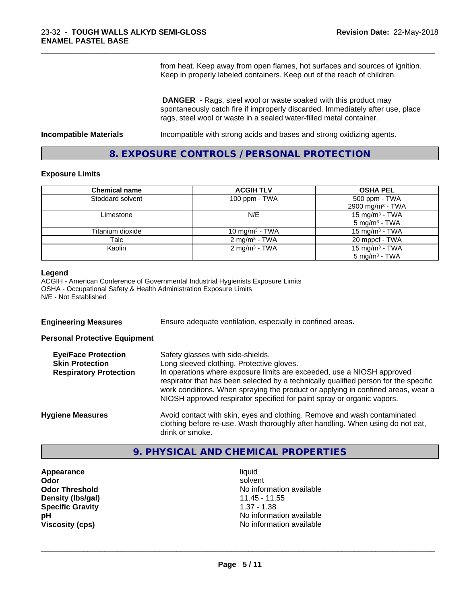from heat. Keep away from open flames, hot surfaces and sources of ignition. Keep in properly labeled containers. Keep out of the reach of children.

\_\_\_\_\_\_\_\_\_\_\_\_\_\_\_\_\_\_\_\_\_\_\_\_\_\_\_\_\_\_\_\_\_\_\_\_\_\_\_\_\_\_\_\_\_\_\_\_\_\_\_\_\_\_\_\_\_\_\_\_\_\_\_\_\_\_\_\_\_\_\_\_\_\_\_\_\_\_\_\_\_\_\_\_\_\_\_\_\_\_\_\_\_

 **DANGER** - Rags, steel wool or waste soaked with this product may spontaneously catch fire if improperly discarded. Immediately after use, place rags, steel wool or waste in a sealed water-filled metal container.

**Incompatible Materials Incompatible with strong acids and bases and strong oxidizing agents.** 

### **8. EXPOSURE CONTROLS / PERSONAL PROTECTION**

#### **Exposure Limits**

| <b>Chemical name</b> | <b>ACGIH TLV</b>           | <b>OSHA PEL</b>              |
|----------------------|----------------------------|------------------------------|
| Stoddard solvent     | 100 ppm $-$ TWA            | 500 ppm - TWA                |
|                      |                            | 2900 mg/m <sup>3</sup> - TWA |
| Limestone            | N/E                        | 15 mg/m $3$ - TWA            |
|                      |                            | 5 mg/m <sup>3</sup> - TWA    |
| Titanium dioxide     | 10 mg/m <sup>3</sup> - TWA | 15 mg/m <sup>3</sup> - TWA   |
| Talc                 | $2 \text{ mg/m}^3$ - TWA   | 20 mppcf - TWA               |
| Kaolin               | 2 mg/m <sup>3</sup> - TWA  | 15 mg/m <sup>3</sup> - TWA   |
|                      |                            | $5 \text{ mg/m}^3$ - TWA     |

#### **Legend**

ACGIH - American Conference of Governmental Industrial Hygienists Exposure Limits OSHA - Occupational Safety & Health Administration Exposure Limits N/E - Not Established

**Engineering Measures** Ensure adequate ventilation, especially in confined areas.

#### **Personal Protective Equipment**

| <b>Eye/Face Protection</b><br><b>Skin Protection</b><br><b>Respiratory Protection</b> | Safety glasses with side-shields.<br>Long sleeved clothing. Protective gloves.<br>In operations where exposure limits are exceeded, use a NIOSH approved<br>respirator that has been selected by a technically qualified person for the specific<br>work conditions. When spraying the product or applying in confined areas, wear a<br>NIOSH approved respirator specified for paint spray or organic vapors. |
|---------------------------------------------------------------------------------------|----------------------------------------------------------------------------------------------------------------------------------------------------------------------------------------------------------------------------------------------------------------------------------------------------------------------------------------------------------------------------------------------------------------|
| <b>Hygiene Measures</b>                                                               | Avoid contact with skin, eyes and clothing. Remove and wash contaminated<br>clothing before re-use. Wash thoroughly after handling. When using do not eat,<br>drink or smoke.                                                                                                                                                                                                                                  |

### **9. PHYSICAL AND CHEMICAL PROPERTIES**

**Appearance** liquid **Density (lbs/gal)** 11.45 - 11.55 **Specific Gravity** 1.37 - 1.38

**Odor** solvent **Odor Threshold** No information available **pH** No information available **Viscosity (cps)** No information available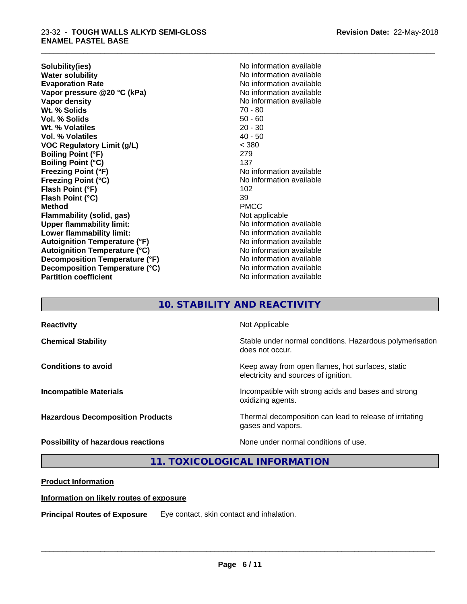#### 23-32 - **TOUGH WALLS ALKYD SEMI-GLOSS ENAMEL PASTEL BASE**

**Solubility(ies)** No information available **Water solubility**<br> **Evaporation Rate**<br> **Evaporation Rate**<br> **Evaporation Rate Vapor pressure @20 °C (kPa)** No information available **Vapor density** No information available Wt. % Solids **Vol. % Solids** 50 - 60 **Wt. % Volatiles** 20 - 30 **Vol. % Volatiles VOC Regulatory Limit (g/L)** < 380 **Boiling Point (°F)** 279 **Boiling Point (°C)** 137 **Freezing Point (°F)**<br> **Freezing Point (°C)**<br> **Freezing Point (°C)**<br> **No information available Flash Point (°F)** 102 **Flash Point (°C)** 39<br> **Method** PMCC **Method** PMCC **Flammability (solid, gas)** Not applicable **Upper flammability limit:** No information available **Lower flammability limit:** No information available **Lower** flammability limit: **Autoignition Temperature (°F)** No information available **Autoignition Temperature (°C)** No information available **Decomposition Temperature (°F)** No information available **Decomposition Temperature (°C)** No information available **Partition coefficient CONSTRANSISTS No information available** 

**Evaporation Rate** No information available **Freezing Point (°C)** No information available

\_\_\_\_\_\_\_\_\_\_\_\_\_\_\_\_\_\_\_\_\_\_\_\_\_\_\_\_\_\_\_\_\_\_\_\_\_\_\_\_\_\_\_\_\_\_\_\_\_\_\_\_\_\_\_\_\_\_\_\_\_\_\_\_\_\_\_\_\_\_\_\_\_\_\_\_\_\_\_\_\_\_\_\_\_\_\_\_\_\_\_\_\_

### **10. STABILITY AND REACTIVITY**

| <b>Reactivity</b>                       | Not Applicable                                                                           |
|-----------------------------------------|------------------------------------------------------------------------------------------|
| <b>Chemical Stability</b>               | Stable under normal conditions. Hazardous polymerisation<br>does not occur.              |
| <b>Conditions to avoid</b>              | Keep away from open flames, hot surfaces, static<br>electricity and sources of ignition. |
| <b>Incompatible Materials</b>           | Incompatible with strong acids and bases and strong<br>oxidizing agents.                 |
| <b>Hazardous Decomposition Products</b> | Thermal decomposition can lead to release of irritating<br>gases and vapors.             |
| Possibility of hazardous reactions      | None under normal conditions of use.                                                     |

**11. TOXICOLOGICAL INFORMATION**

### **Product Information**

### **Information on likely routes of exposure**

**Principal Routes of Exposure** Eye contact, skin contact and inhalation.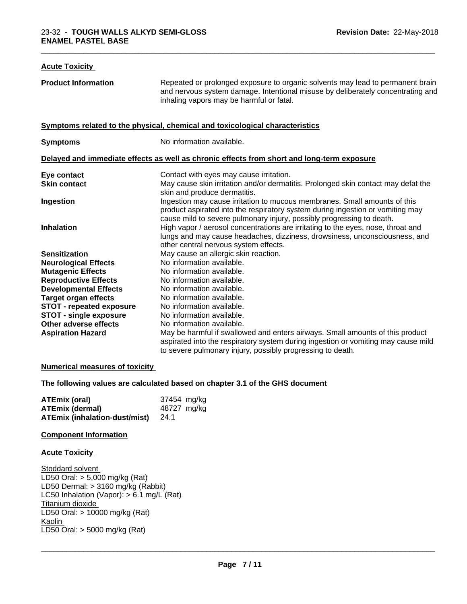### **Acute Toxicity Product Information** Repeated or prolonged exposure to organic solvents may lead to permanent brain and nervous system damage. Intentional misuse by deliberately concentrating and inhaling vapors may be harmful or fatal. **Symptoms related to the physical,chemical and toxicological characteristics Symptoms** No information available. **Delayed and immediate effects as well as chronic effects from short and long-term exposure Eye contact** Contact With eyes may cause irritation. **Skin contact** May cause skin irritation and/or dermatitis. Prolonged skin contact may defat the skin and produce dermatitis. **Ingestion Ingestion may cause irritation to mucous membranes. Small amounts of this** product aspirated into the respiratory system during ingestion or vomiting may cause mild to severe pulmonary injury, possibly progressing to death. **Inhalation High vapor / aerosol concentrations are irritating to the eyes, nose, throat and** lungs and may cause headaches, dizziness, drowsiness, unconsciousness, and other central nervous system effects. **Sensitization** May cause an allergic skin reaction. **Neurological Effects** No information available. **Mutagenic Effects** No information available. **Reproductive Effects** No information available.<br> **Developmental Effects** No information available. **Developmental Effects Target organ effects** No information available. **STOT - repeated exposure** No information available.<br>**STOT - single exposure** No information available. **STOT** - single exposure **Other adverse effects** No information available. **Aspiration Hazard** May be harmful if swallowed and enters airways. Small amounts of this product aspirated into the respiratory system during ingestion or vomiting may cause mild to severe pulmonary injury, possibly progressing to death.

#### **Numerical measures of toxicity**

**The following values are calculated based on chapter 3.1 of the GHS document**

| ATEmix (oral)                             | 37454 mg/kg |
|-------------------------------------------|-------------|
| <b>ATEmix (dermal)</b>                    | 48727 mg/kg |
| <b>ATEmix (inhalation-dust/mist)</b> 24.1 |             |

#### **Component Information**

#### **Acute Toxicity**

Stoddard solvent LD50 Oral: > 5,000 mg/kg (Rat) LD50 Dermal: > 3160 mg/kg (Rabbit) LC50 Inhalation (Vapor): > 6.1 mg/L (Rat) Titanium dioxide LD50 Oral: > 10000 mg/kg (Rat) Kaolin \_\_\_\_\_\_\_\_\_\_\_\_\_\_\_\_\_\_\_\_\_\_\_\_\_\_\_\_\_\_\_\_\_\_\_\_\_\_\_\_\_\_\_\_\_\_\_\_\_\_\_\_\_\_\_\_\_\_\_\_\_\_\_\_\_\_\_\_\_\_\_\_\_\_\_\_\_\_\_\_\_\_\_\_\_\_\_\_\_\_\_\_\_ LD50 Oral: > 5000 mg/kg (Rat)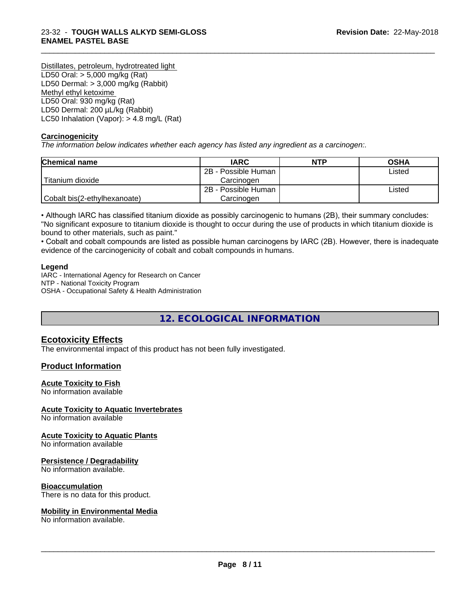Distillates, petroleum, hydrotreated light LD50 Oral: > 5,000 mg/kg (Rat) LD50 Dermal: > 3,000 mg/kg (Rabbit) Methyl ethyl ketoxime LD50 Oral: 930 mg/kg (Rat) LD50 Dermal: 200 µL/kg (Rabbit) LC50 Inhalation (Vapor): > 4.8 mg/L (Rat)

#### **Carcinogenicity**

*The information below indicateswhether each agency has listed any ingredient as a carcinogen:.*

| <b>Chemical name</b>         | <b>IARC</b>         | <b>NTP</b> | <b>OSHA</b> |
|------------------------------|---------------------|------------|-------------|
|                              | 2B - Possible Human |            | Listed      |
| Titanium dioxide             | Carcinoɑen          |            |             |
|                              | 2B - Possible Human |            | ∟isted      |
| Cobalt bis(2-ethylhexanoate) | Carcinogen          |            |             |

\_\_\_\_\_\_\_\_\_\_\_\_\_\_\_\_\_\_\_\_\_\_\_\_\_\_\_\_\_\_\_\_\_\_\_\_\_\_\_\_\_\_\_\_\_\_\_\_\_\_\_\_\_\_\_\_\_\_\_\_\_\_\_\_\_\_\_\_\_\_\_\_\_\_\_\_\_\_\_\_\_\_\_\_\_\_\_\_\_\_\_\_\_

• Although IARC has classified titanium dioxide as possibly carcinogenic to humans (2B), their summary concludes: "No significant exposure to titanium dioxide is thought to occur during the use of products in which titanium dioxide is bound to other materials, such as paint."

• Cobalt and cobalt compounds are listed as possible human carcinogens by IARC (2B). However, there is inadequate evidence of the carcinogenicity of cobalt and cobalt compounds in humans.

#### **Legend**

IARC - International Agency for Research on Cancer NTP - National Toxicity Program OSHA - Occupational Safety & Health Administration

**12. ECOLOGICAL INFORMATION**

### **Ecotoxicity Effects**

The environmental impact of this product has not been fully investigated.

#### **Product Information**

#### **Acute Toxicity to Fish**

No information available

#### **Acute Toxicity to Aquatic Invertebrates**

No information available

#### **Acute Toxicity to Aquatic Plants**

No information available

#### **Persistence / Degradability**

No information available.

#### **Bioaccumulation**

There is no data for this product.

#### **Mobility in Environmental Media**

No information available.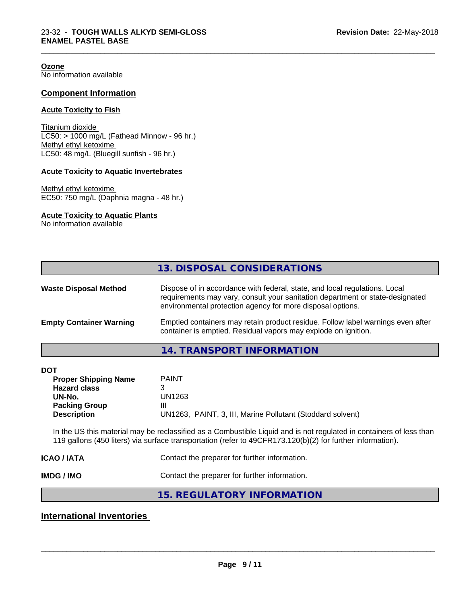**Ozone** No information available

#### **Component Information**

#### **Acute Toxicity to Fish**

Titanium dioxide  $LCS0: > 1000$  mg/L (Fathead Minnow - 96 hr.) Methyl ethyl ketoxime LC50: 48 mg/L (Bluegill sunfish - 96 hr.)

#### **Acute Toxicity to Aquatic Invertebrates**

Methyl ethyl ketoxime EC50: 750 mg/L (Daphnia magna - 48 hr.)

#### **Acute Toxicity to Aquatic Plants**

No information available

|                                | 13. DISPOSAL CONSIDERATIONS                                                                                                                                                                                               |
|--------------------------------|---------------------------------------------------------------------------------------------------------------------------------------------------------------------------------------------------------------------------|
| <b>Waste Disposal Method</b>   | Dispose of in accordance with federal, state, and local regulations. Local<br>requirements may vary, consult your sanitation department or state-designated<br>environmental protection agency for more disposal options. |
| <b>Empty Container Warning</b> | Emptied containers may retain product residue. Follow label warnings even after<br>container is emptied. Residual vapors may explode on ignition.                                                                         |
|                                | 14. TRANSPORT INFORMATION                                                                                                                                                                                                 |

\_\_\_\_\_\_\_\_\_\_\_\_\_\_\_\_\_\_\_\_\_\_\_\_\_\_\_\_\_\_\_\_\_\_\_\_\_\_\_\_\_\_\_\_\_\_\_\_\_\_\_\_\_\_\_\_\_\_\_\_\_\_\_\_\_\_\_\_\_\_\_\_\_\_\_\_\_\_\_\_\_\_\_\_\_\_\_\_\_\_\_\_\_

| <b>PAINT</b>                                               |
|------------------------------------------------------------|
|                                                            |
| UN1263                                                     |
| Ш                                                          |
| UN1263, PAINT, 3, III, Marine Pollutant (Stoddard solvent) |
|                                                            |

In the US this material may be reclassified as a Combustible Liquid and is not regulated in containers of less than 119 gallons (450 liters) via surface transportation (refer to 49CFR173.120(b)(2) for further information).

**ICAO / IATA** Contact the preparer for further information.

**IMDG / IMO** Contact the preparer for further information.

### **15. REGULATORY INFORMATION**

### **International Inventories**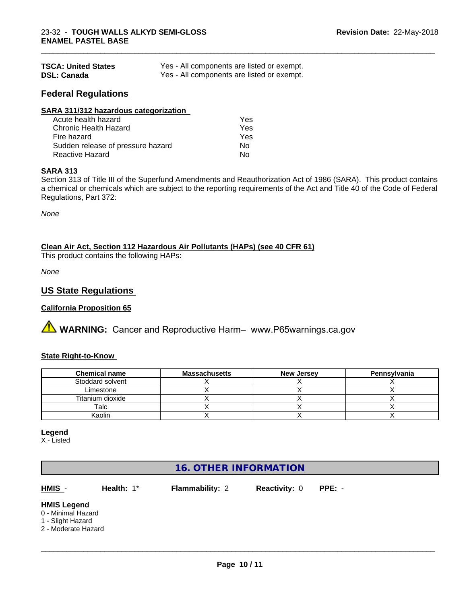| <b>TSCA: United States</b> | Yes - All components are listed or exempt. |
|----------------------------|--------------------------------------------|
| <b>DSL: Canada</b>         | Yes - All components are listed or exempt. |

### **Federal Regulations**

| SARA 311/312 hazardous categorization |     |  |
|---------------------------------------|-----|--|
| Acute health hazard                   | Yes |  |
| Chronic Health Hazard                 | Yes |  |
| Fire hazard                           | Yes |  |
| Sudden release of pressure hazard     | No  |  |
| Reactive Hazard                       | No  |  |

#### **SARA 313**

Section 313 of Title III of the Superfund Amendments and Reauthorization Act of 1986 (SARA). This product contains a chemical or chemicals which are subject to the reporting requirements of the Act and Title 40 of the Code of Federal Regulations, Part 372:

\_\_\_\_\_\_\_\_\_\_\_\_\_\_\_\_\_\_\_\_\_\_\_\_\_\_\_\_\_\_\_\_\_\_\_\_\_\_\_\_\_\_\_\_\_\_\_\_\_\_\_\_\_\_\_\_\_\_\_\_\_\_\_\_\_\_\_\_\_\_\_\_\_\_\_\_\_\_\_\_\_\_\_\_\_\_\_\_\_\_\_\_\_

*None*

**Clean Air Act,Section 112 Hazardous Air Pollutants (HAPs) (see 40 CFR 61)**

This product contains the following HAPs:

*None*

### **US State Regulations**

#### **California Proposition 65**

**AVIMARNING:** Cancer and Reproductive Harm– www.P65warnings.ca.gov

#### **State Right-to-Know**

| <b>Chemical name</b> | <b>Massachusetts</b> | <b>New Jersey</b> | Pennsylvania |
|----------------------|----------------------|-------------------|--------------|
| Stoddard solvent     |                      |                   |              |
| Limestone            |                      |                   |              |
| Titanium dioxide     |                      |                   |              |
| Talc                 |                      |                   |              |
| Kaolin               |                      |                   |              |

**Legend**

X - Listed

### **16. OTHER INFORMATION**

**HMIS** - **Health:** 1\* **Flammability:** 2 **Reactivity:** 0 **PPE:** -

 $\overline{\phantom{a}}$  ,  $\overline{\phantom{a}}$  ,  $\overline{\phantom{a}}$  ,  $\overline{\phantom{a}}$  ,  $\overline{\phantom{a}}$  ,  $\overline{\phantom{a}}$  ,  $\overline{\phantom{a}}$  ,  $\overline{\phantom{a}}$  ,  $\overline{\phantom{a}}$  ,  $\overline{\phantom{a}}$  ,  $\overline{\phantom{a}}$  ,  $\overline{\phantom{a}}$  ,  $\overline{\phantom{a}}$  ,  $\overline{\phantom{a}}$  ,  $\overline{\phantom{a}}$  ,  $\overline{\phantom{a}}$ 

#### **HMIS Legend**

- 0 Minimal Hazard
- 1 Slight Hazard
- 2 Moderate Hazard